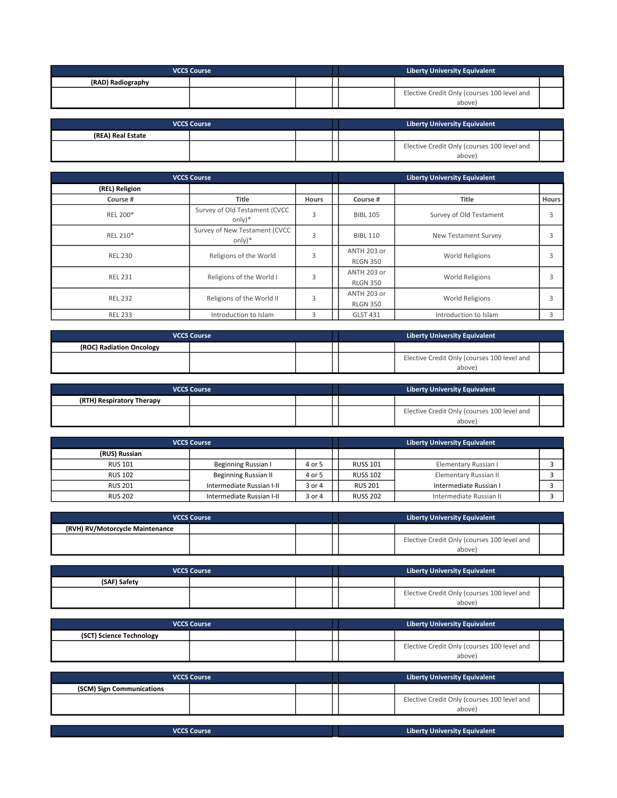| <b>VCCS Course</b> |  | <b>Liberty University Equivalent</b> |  |                                                       |  |
|--------------------|--|--------------------------------------|--|-------------------------------------------------------|--|
| (RAD) Radiography  |  |                                      |  |                                                       |  |
|                    |  |                                      |  | Elective Credit Only (courses 100 level and<br>above) |  |

| <b>VCCS Course</b> |  | <b>Liberty University Equivalent</b> |  |                                                       |  |
|--------------------|--|--------------------------------------|--|-------------------------------------------------------|--|
| (REA) Real Estate  |  |                                      |  |                                                       |  |
|                    |  |                                      |  | Elective Credit Only (courses 100 level and<br>above) |  |

| <b>VCCS Course</b> |                                           |                | <b>Liberty University Equivalent</b> |                         |       |  |
|--------------------|-------------------------------------------|----------------|--------------------------------------|-------------------------|-------|--|
| (REL) Religion     |                                           |                |                                      |                         |       |  |
| Course #           | <b>Title</b>                              | <b>Hours</b>   | Course #                             | Title                   | Hours |  |
| REL 200*           | Survey of Old Testament (CVCC<br>$only)*$ | 3              | <b>BIBL 105</b>                      | Survey of Old Testament | 3     |  |
| REL 210*           | Survey of New Testament (CVCC<br>$only)*$ | 3              | <b>BIBL 110</b>                      | New Testament Survey    |       |  |
| <b>REL 230</b>     | Religions of the World                    | 3              | ANTH 203 or                          | <b>World Religions</b>  |       |  |
|                    |                                           |                | <b>RLGN 350</b>                      |                         |       |  |
| <b>REL 231</b>     | Religions of the World I                  | $\overline{3}$ | ANTH 203 or                          | World Religions         |       |  |
|                    |                                           |                | <b>RLGN 350</b>                      |                         |       |  |
|                    |                                           | 3              | ANTH 203 or                          |                         |       |  |
| <b>REL 232</b>     | Religions of the World II                 |                | <b>RLGN 350</b>                      | <b>World Religions</b>  |       |  |
| <b>REL 233</b>     | Introduction to Islam                     | 3              | <b>GLST 431</b>                      | Introduction to Islam   | 3     |  |

| <b>VCCS Course</b>       |  |  | <b>Liberty University Equivalent</b> |                                                       |  |
|--------------------------|--|--|--------------------------------------|-------------------------------------------------------|--|
| (ROC) Radiation Oncology |  |  |                                      |                                                       |  |
|                          |  |  |                                      | Elective Credit Only (courses 100 level and<br>above) |  |

| <b>VCCS Course</b>        |  |  | <b>Liberty University Equivalent</b> |                                                       |  |
|---------------------------|--|--|--------------------------------------|-------------------------------------------------------|--|
| (RTH) Respiratory Therapy |  |  |                                      |                                                       |  |
|                           |  |  |                                      | Elective Credit Only (courses 100 level and<br>above) |  |

| <b>VCCS Course</b> |                           |        | <b>Liberty University Equivalent</b> |                         |  |
|--------------------|---------------------------|--------|--------------------------------------|-------------------------|--|
| (RUS) Russian      |                           |        |                                      |                         |  |
| <b>RUS 101</b>     | Beginning Russian I       | 4 or 5 | <b>RUSS 101</b>                      | Elementary Russian I    |  |
| <b>RUS 102</b>     | Beginning Russian II      | 4 or 5 | <b>RUSS 102</b>                      | Elementary Russian II   |  |
| <b>RUS 201</b>     | Intermediate Russian I-II | 3 or 4 | <b>RUS 201</b>                       | Intermediate Russian I  |  |
| <b>RUS 202</b>     | Intermediate Russian I-II | 3 or 4 | <b>RUSS 202</b>                      | Intermediate Russian II |  |

| <b>VCCS Course</b>              |  | <b>Liberty University Equivalent</b> |                                                       |  |
|---------------------------------|--|--------------------------------------|-------------------------------------------------------|--|
| (RVH) RV/Motorcycle Maintenance |  |                                      |                                                       |  |
|                                 |  |                                      | Elective Credit Only (courses 100 level and<br>above) |  |

| <b>VCCS Course</b> |  | Liberty University Equivalent |                                                       |
|--------------------|--|-------------------------------|-------------------------------------------------------|
| (SAF) Safety       |  |                               |                                                       |
|                    |  |                               | Elective Credit Only (courses 100 level and<br>above) |

| <b>VCCS Course</b>       |  | <b>Liberty University Equivalent</b> |                                                       |  |
|--------------------------|--|--------------------------------------|-------------------------------------------------------|--|
| (SCT) Science Technology |  |                                      |                                                       |  |
|                          |  |                                      | Elective Credit Only (courses 100 level and<br>above) |  |

| <b>VCCS Course</b>        |  | <b>Liberty University Equivalent</b> |                                                      |  |
|---------------------------|--|--------------------------------------|------------------------------------------------------|--|
| (SCM) Sign Communications |  |                                      |                                                      |  |
|                           |  |                                      | Elective Credit Only (courses 100 level and<br>above |  |
|                           |  |                                      |                                                      |  |

| <b>VCCS Course</b> | <b>Liberty University Equivalent</b> |
|--------------------|--------------------------------------|
|                    |                                      |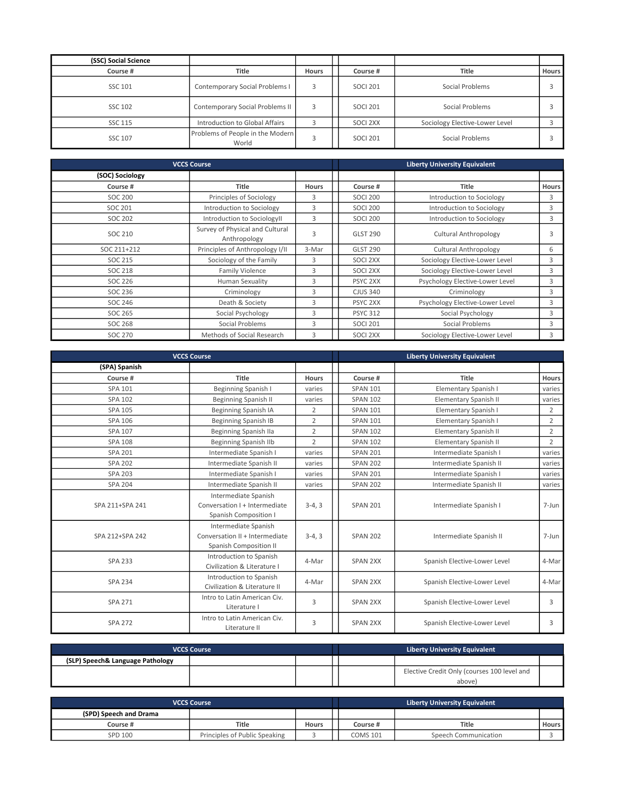| (SSC) Social Science |                                           |              |                 |                                |              |
|----------------------|-------------------------------------------|--------------|-----------------|--------------------------------|--------------|
| Course #             | <b>Title</b>                              | <b>Hours</b> | Course #        | Title                          | <b>Hours</b> |
| SSC 101              | Contemporary Social Problems I            |              | <b>SOCI 201</b> | Social Problems                |              |
| <b>SSC 102</b>       | Contemporary Social Problems II           | 3            | <b>SOCI 201</b> | Social Problems                |              |
| SSC 115              | Introduction to Global Affairs            |              | SOCI 2XX        | Sociology Elective-Lower Level |              |
| SSC 107              | Problems of People in the Modern<br>World |              | <b>SOCI 201</b> | Social Problems                |              |

|                 | <b>VCCS Course</b>                              |              |                 | <b>Liberty University Equivalent</b> |              |
|-----------------|-------------------------------------------------|--------------|-----------------|--------------------------------------|--------------|
| (SOC) Sociology |                                                 |              |                 |                                      |              |
| Course #        | Title                                           | <b>Hours</b> | Course #        | Title                                | <b>Hours</b> |
| SOC 200         | Principles of Sociology                         | 3            | <b>SOCI 200</b> | Introduction to Sociology            | 3            |
| SOC 201         | Introduction to Sociology                       | 3            | <b>SOCI 200</b> | Introduction to Sociology            | 3            |
| SOC 202         | Introduction to SociologyII                     | 3            | <b>SOCI 200</b> | Introduction to Sociology            | 3            |
| SOC 210         | Survey of Physical and Cultural<br>Anthropology | 3            | <b>GLST 290</b> | <b>Cultural Anthropology</b>         |              |
| SOC 211+212     | Principles of Anthropology I/II                 | 3-Mar        | <b>GLST 290</b> | Cultural Anthropology                | 6            |
| SOC 215         | Sociology of the Family                         | 3            | SOCI 2XX        | Sociology Elective-Lower Level       | 3            |
| SOC 218         | Family Violence                                 | 3            | SOCI 2XX        | Sociology Elective-Lower Level       | 3            |
| SOC 226         | Human Sexuality                                 | 3            | PSYC 2XX        | Psychology Elective-Lower Level      | 3            |
| SOC 236         | Criminology                                     | 3            | <b>CJUS 340</b> | Criminology                          | 3            |
| SOC 246         | Death & Society                                 | 3            | PSYC 2XX        | Psychology Elective-Lower Level      | 3            |
| SOC 265         | Social Psychology                               | 3            | <b>PSYC 312</b> | Social Psychology                    | 3            |
| SOC 268         | Social Problems                                 | 3            | <b>SOCI 201</b> | Social Problems                      | 3            |
| <b>SOC 270</b>  | Methods of Social Research                      | 3            | SOCI 2XX        | Sociology Elective-Lower Level       | 3            |

|                 | <b>VCCS Course</b>                                                               |                |                 | <b>Liberty University Equivalent</b> |                |
|-----------------|----------------------------------------------------------------------------------|----------------|-----------------|--------------------------------------|----------------|
| (SPA) Spanish   |                                                                                  |                |                 |                                      |                |
| Course #        | Title                                                                            | <b>Hours</b>   | Course #        | Title                                | Hours          |
| SPA 101         | Beginning Spanish I                                                              | varies         | <b>SPAN 101</b> | Elementary Spanish I                 | varies         |
| <b>SPA 102</b>  | <b>Beginning Spanish II</b>                                                      | varies         | <b>SPAN 102</b> | <b>Elementary Spanish II</b>         | varies         |
| <b>SPA 105</b>  | Beginning Spanish IA                                                             | $\overline{2}$ | <b>SPAN 101</b> | Elementary Spanish I                 | $\overline{2}$ |
| SPA 106         | Beginning Spanish IB                                                             | $\overline{2}$ | <b>SPAN 101</b> | Elementary Spanish I                 | $\overline{2}$ |
| SPA 107         | Beginning Spanish IIa                                                            | $\overline{2}$ | <b>SPAN 102</b> | <b>Elementary Spanish II</b>         | $\overline{2}$ |
| <b>SPA 108</b>  | <b>Beginning Spanish IIb</b>                                                     | $\overline{2}$ | <b>SPAN 102</b> | <b>Elementary Spanish II</b>         | $\overline{2}$ |
| <b>SPA 201</b>  | Intermediate Spanish I                                                           | varies         | <b>SPAN 201</b> | Intermediate Spanish I               | varies         |
| <b>SPA 202</b>  | Intermediate Spanish II                                                          | varies         | <b>SPAN 202</b> | Intermediate Spanish II              | varies         |
| <b>SPA 203</b>  | Intermediate Spanish I                                                           | varies         | <b>SPAN 201</b> | Intermediate Spanish I               | varies         |
| <b>SPA 204</b>  | Intermediate Spanish II                                                          | varies         | <b>SPAN 202</b> | Intermediate Spanish II              | varies         |
| SPA 211+SPA 241 | Intermediate Spanish<br>Conversation I + Intermediate<br>Spanish Composition I   | $3-4, 3$       | <b>SPAN 201</b> | Intermediate Spanish I               | 7-Jun          |
| SPA 212+SPA 242 | Intermediate Spanish<br>Conversation II + Intermediate<br>Spanish Composition II | $3-4, 3$       | <b>SPAN 202</b> | Intermediate Spanish II              | 7-Jun          |
| <b>SPA 233</b>  | Introduction to Spanish<br>Civilization & Literature I                           | 4-Mar          | SPAN 2XX        | Spanish Elective-Lower Level         | 4-Mar          |
| <b>SPA 234</b>  | Introduction to Spanish<br>Civilization & Literature II                          | 4-Mar          | SPAN 2XX        | Spanish Elective-Lower Level         | 4-Mar          |
| <b>SPA 271</b>  | Intro to Latin American Civ.<br>Literature I                                     | 3              | SPAN 2XX        | Spanish Elective-Lower Level         | 3              |
| <b>SPA 272</b>  | Intro to Latin American Civ.<br>Literature II                                    | 3              | SPAN 2XX        | Spanish Elective-Lower Level         | 3              |

| <b>VCCS Course</b>               |  | <b>Liberty University Equivalent</b> |                                                       |  |
|----------------------------------|--|--------------------------------------|-------------------------------------------------------|--|
| (SLP) Speech& Language Pathology |  |                                      |                                                       |  |
|                                  |  |                                      | Elective Credit Only (courses 100 level and<br>above) |  |

| <b>VCCS Course</b>     |                               |              |                 | Liberty University Equivalent |              |
|------------------------|-------------------------------|--------------|-----------------|-------------------------------|--------------|
| (SPD) Speech and Drama |                               |              |                 |                               |              |
| Course #               | Title                         | <b>Hours</b> | Course #        | <b>Title</b>                  | <b>Hours</b> |
| SPD 100                | Principles of Public Speaking |              | <b>COMS 101</b> | Speech Communication          |              |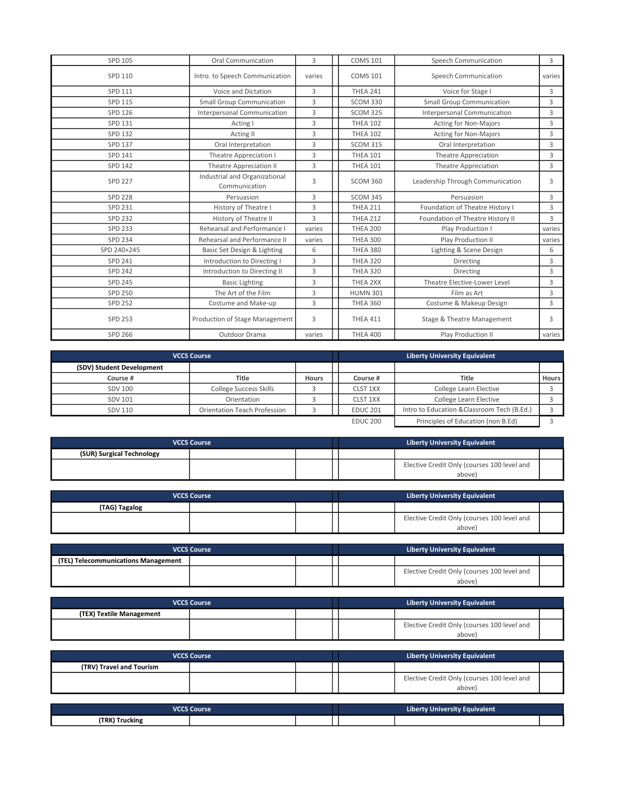| SPD 105        | <b>Oral Communication</b>                      | 3      | <b>COMS 101</b> | Speech Communication             | 3      |
|----------------|------------------------------------------------|--------|-----------------|----------------------------------|--------|
| SPD 110        | Intro. to Speech Communication                 | varies | <b>COMS 101</b> | Speech Communication             | varies |
| SPD 111        | Voice and Dictation                            | 3      | <b>THEA 241</b> | Voice for Stage I                | 3      |
| SPD 115        | <b>Small Group Communication</b>               | 3      | SCOM 330        | <b>Small Group Communication</b> | 3      |
| SPD 126        | Interpersonal Communication                    | 3      | <b>SCOM 325</b> | Interpersonal Communication      | 3      |
| SPD 131        | Acting I                                       | 3      | <b>THEA 102</b> | <b>Acting for Non-Majors</b>     | 3      |
| <b>SPD 132</b> | Acting II                                      | 3      | <b>THEA 102</b> | <b>Acting for Non-Majors</b>     | 3      |
| <b>SPD 137</b> | Oral Interpretation                            | 3      | <b>SCOM 315</b> | Oral Interpretation              | 3      |
| SPD 141        | Theatre Appreciation I                         | 3      | <b>THEA 101</b> | <b>Theatre Appreciation</b>      | 3      |
| <b>SPD 142</b> | <b>Theatre Appreciation II</b>                 | 3      | <b>THEA 101</b> | <b>Theatre Appreciation</b>      | 3      |
| <b>SPD 227</b> | Industrial and Organizational<br>Communication | 3      | <b>SCOM 360</b> | Leadership Through Communication | 3      |
| <b>SPD 228</b> | Persuasion                                     | 3      | <b>SCOM 345</b> | Persuasion                       | 3      |
| <b>SPD 231</b> | History of Theatre I                           | 3      | <b>THEA 211</b> | Foundation of Theatre History I  | 3      |
| <b>SPD 232</b> | History of Theatre II                          | 3      | <b>THEA 212</b> | Foundation of Theatre History II | 3      |
| <b>SPD 233</b> | Rehearsal and Performance I                    | varies | <b>THEA 200</b> | Play Production I                | varies |
| <b>SPD 234</b> | Rehearsal and Performance II                   | varies | <b>THEA 300</b> | Play Production II               | varies |
| SPD 240+245    | Basic Set Design & Lighting                    | 6      | <b>THEA 380</b> | Lighting & Scene Design          | 6      |
| SPD 241        | Introduction to Directing I                    | 3      | <b>THEA 320</b> | Directing                        | 3      |
| <b>SPD 242</b> | Introduction to Directing II                   | 3      | <b>THEA 320</b> | Directing                        | 3      |
| <b>SPD 245</b> | <b>Basic Lighting</b>                          | 3      | THEA 2XX        | Theatre Elective-Lower Level     | 3      |
| <b>SPD 250</b> | The Art of the Film                            | 3      | <b>HUMN 301</b> | Film as Art                      | 3      |
| <b>SPD 252</b> | Costume and Make-up                            | 3      | <b>THEA 360</b> | Costume & Makeup Design          | 3      |
| <b>SPD 253</b> | Production of Stage Management                 | 3      | <b>THEA 411</b> | Stage & Theatre Management       | 3      |
| SPD 266        | Outdoor Drama                                  | varies | <b>THEA 400</b> | Play Production II               | varies |

| <b>VCCS Course</b>        |                                     |              | Liberty University Equivalent |                                             |              |  |  |
|---------------------------|-------------------------------------|--------------|-------------------------------|---------------------------------------------|--------------|--|--|
| (SDV) Student Development |                                     |              |                               |                                             |              |  |  |
| Course #                  | Title                               | <b>Hours</b> | Course #                      | Title                                       | <b>Hours</b> |  |  |
| <b>SDV 100</b>            | <b>College Success Skills</b>       |              | CLST 1XX                      | College Learn Elective                      |              |  |  |
| <b>SDV 101</b>            | Orientation                         |              | CLST 1XX                      | College Learn Elective                      |              |  |  |
| SDV 110                   | <b>Orientation Teach Profession</b> |              | <b>EDUC 201</b>               | Intro to Education & Classroom Tech (B.Ed.) |              |  |  |
|                           |                                     |              | <b>EDUC 200</b>               | Principles of Education (non B.Ed)          |              |  |  |

| <b>VCCS Course</b>        |  |  | <b>Liberty University Equivalent</b> |                                                      |  |
|---------------------------|--|--|--------------------------------------|------------------------------------------------------|--|
| (SUR) Surgical Technology |  |  |                                      |                                                      |  |
|                           |  |  |                                      | Elective Credit Only (courses 100 level and<br>above |  |

| <b>VCCS Course</b> |  |  | <b>Liberty University Equivalent</b> |                                                       |  |
|--------------------|--|--|--------------------------------------|-------------------------------------------------------|--|
| (TAG) Tagalog      |  |  |                                      |                                                       |  |
|                    |  |  |                                      | Elective Credit Only (courses 100 level and<br>above) |  |

| <b>VCCS Course</b>                  |  | <b>Liberty University Equivalent</b> |                                                       |  |
|-------------------------------------|--|--------------------------------------|-------------------------------------------------------|--|
| (TEL) Telecommunications Management |  |                                      |                                                       |  |
|                                     |  |                                      | Elective Credit Only (courses 100 level and<br>above) |  |

|                          | <b>VCCS Course</b> |  | <b>Liberty University Equivalent</b>                 |  |
|--------------------------|--------------------|--|------------------------------------------------------|--|
| (TEX) Textile Management |                    |  |                                                      |  |
|                          |                    |  | Elective Credit Only (courses 100 level and<br>above |  |

| <b>VCCS Course</b>       |  | <b>Liberty University Equivalent</b> |                                                       |  |
|--------------------------|--|--------------------------------------|-------------------------------------------------------|--|
| (TRV) Travel and Tourism |  |                                      |                                                       |  |
|                          |  |                                      | Elective Credit Only (courses 100 level and<br>above) |  |

| VCCS Course    |  | Liberty University Equivalent |  |  |  |
|----------------|--|-------------------------------|--|--|--|
| (TRK) Trucking |  |                               |  |  |  |